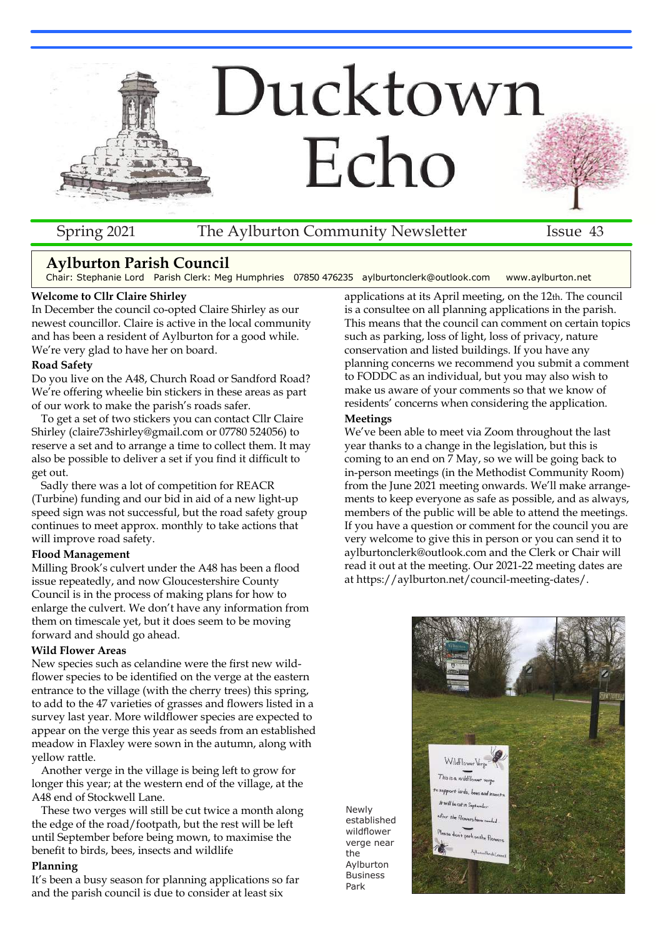

### Spring 2021 The Aylburton Community Newsletter Issue 43

# **Aylburton Parish Council**

Chair: Stephanie Lord Parish Clerk: Meg Humphries 07850 476235 aylburtonclerk@outlook.com www.aylburton.net

#### **Welcome to Cllr Claire Shirley**

In December the council co-opted Claire Shirley as our newest councillor. Claire is active in the local community and has been a resident of Aylburton for a good while. We're very glad to have her on board.

#### **Road Safety**

Do you live on the A48, Church Road or Sandford Road? We're offering wheelie bin stickers in these areas as part of our work to make the parish's roads safer.

To get a set of two stickers you can contact Cllr Claire Shirley (claire73shirley@gmail.com or 07780 524056) to reserve a set and to arrange a time to collect them. It may also be possible to deliver a set if you find it difficult to get out.

Sadly there was a lot of competition for REACR (Turbine) funding and our bid in aid of a new light-up speed sign was not successful, but the road safety group continues to meet approx. monthly to take actions that will improve road safety.

#### **Flood Management**

Milling Brook's culvert under the A48 has been a flood issue repeatedly, and now Gloucestershire County Council is in the process of making plans for how to enlarge the culvert. We don't have any information from them on timescale yet, but it does seem to be moving forward and should go ahead.

#### **Wild Flower Areas**

New species such as celandine were the first new wildflower species to be identified on the verge at the eastern entrance to the village (with the cherry trees) this spring, to add to the 47 varieties of grasses and flowers listed in a survey last year. More wildflower species are expected to appear on the verge this year as seeds from an established meadow in Flaxley were sown in the autumn, along with yellow rattle.

Another verge in the village is being left to grow for longer this year; at the western end of the village, at the A48 end of Stockwell Lane.

These two verges will still be cut twice a month along the edge of the road/footpath, but the rest will be left until September before being mown, to maximise the benefit to birds, bees, insects and wildlife

#### **Planning**

It's been a busy season for planning applications so far and the parish council is due to consider at least six

applications at its April meeting, on the 12th. The council is a consultee on all planning applications in the parish. This means that the council can comment on certain topics such as parking, loss of light, loss of privacy, nature conservation and listed buildings. If you have any planning concerns we recommend you submit a comment to FODDC as an individual, but you may also wish to make us aware of your comments so that we know of residents' concerns when considering the application.

#### **Meetings**

Newly established wildflower verge near the Aylburton Business Park

We've been able to meet via Zoom throughout the last year thanks to a change in the legislation, but this is coming to an end on 7 May, so we will be going back to in-person meetings (in the Methodist Community Room) from the June 2021 meeting onwards. We'll make arrangements to keep everyone as safe as possible, and as always, members of the public will be able to attend the meetings. If you have a question or comment for the council you are very welcome to give this in person or you can send it to aylburtonclerk@outlook.com and the Clerk or Chair will read it out at the meeting. Our 2021-22 meeting dates are at https://aylburton.net/council-meeting-dates/.

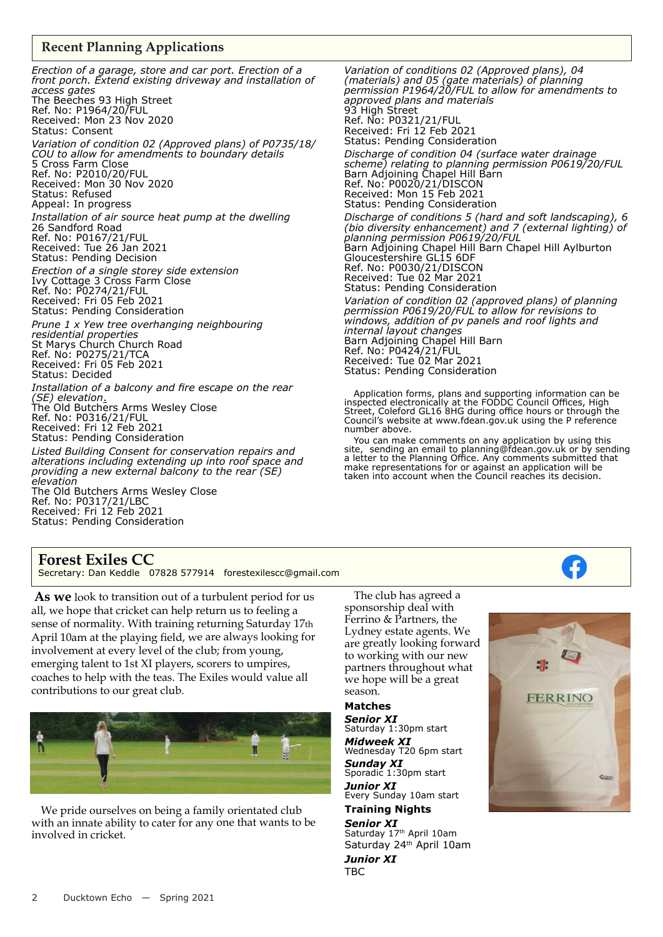### **Recent Planning Applications**

*Erection of a garage, store and car port. Erection of a front porch. Extend existing driveway and installation of access gates* The Beeches 93 High Street Ref. No: P1964/20/FUL Received: Mon 23 Nov 2020 Status: Consent *Variation of condition 02 (Approved plans) of P0735/18/ COU to allow for amendments to boundary details* 5 Cross Farm Close Ref. No: P2010/20/FUL Received: Mon 30 Nov 2020 Status: Refused Appeal: In progress *Installation of air source heat pump at the dwelling* 26 Sandford Road Ref. No: P0167/21/FUL Received: Tue 26 Jan 2021 Status: Pending Decision *Erection of a single storey side extension* Ivy Cottage 3 Cross Farm Close Ref. No: P0274/21/FUL Received: Fri 05 Feb 2021 Status: Pending Consideration *Prune 1 x Yew tree overhanging neighbouring residential properties* St Marys Church Church Road Ref. No: P0275/21/TCA Received: Fri 05 Feb 2021 Status: Decided *Installation of a balcony and fire escape on the rear (SE) elevation*. The Old Butchers Arms Wesley Close Ref. No: P0316/21/FUL Received: Fri 12 Feb 2021 Status: Pending Consideration *Listed Building Consent for conservation repairs and alterations including extending up into roof space and providing a new external balcony to the rear (SE) elevation*

The Old Butchers Arms Wesley Close Ref. No: P0317/21/LBC Received: Fri 12 Feb 2021 Status: Pending Consideration

*Variation of conditions 02 (Approved plans), 04 (materials) and 05 (gate materials) of planning permission P1964/20/FUL to allow for amendments to approved plans and materials* 93 High Street Ref. No: P0321/21/FUL Received: Fri 12 Feb 2021 Status: Pending Consideration *Discharge of condition 04 (surface water drainage scheme) relating to planning permission P0619/20/FUL* Barn Adjoining Chapel Hill Barn Ref. No: P0020/21/DISCON Received: Mon 15 Feb 2021 Status: Pending Consideration *Discharge of conditions 5 (hard and soft landscaping), 6 (bio diversity enhancement) and 7 (external lighting) of planning permission P0619/20/FUL* Barn Adjoining Chapel Hill Barn Chapel Hill Aylburton Gloucestershire GL15 6DF Ref. No: P0030/21/DISCON Received: Tue 02 Mar 2021 Status: Pending Consideration

*Variation of condition 02 (approved plans) of planning permission P0619/20/FUL to allow for revisions to windows, addition of pv panels and roof lights and internal layout changes* Barn Adjoining Chapel Hill Barn Ref. No: P0424/21/FUL Received: Tue 02 Mar 2021 Status: Pending Consideration

Application forms, plans and supporting information can be inspected electronically at the FODDC Council Offices, High Street, Coleford GL16 8HG during office hours or through the Council's website at www.fdean.gov.uk using the P reference number above.

You can make comments on any application by using this site, sending an email to planning@fdean.gov.uk or by sending a letter to the Planning Office. Any comments submitted that make representations for or against an application will be taken into account when the Council reaches its decision.

# **Forest Exiles CC**

Secretary: Dan Keddle 07828 577914 forestexilescc@gmail.com

**As we** look to transition out of <sup>a</sup> turbulent period for us all, we hope that cricket can help return us to feeling <sup>a</sup> sense of normality. With training returning Saturday <sup>17</sup>th April 10am at the playing field, we are always looking for involvement at every level of the club; from young, emerging talent to 1st XI players, scorers to umpires, coaches to help with the teas. The Exiles would value all contributions to our grea<sup>t</sup> club.



We pride ourselves on being <sup>a</sup> family orientated club with an innate ability to cater for any one that wants to be involved in cricket.

The club has agreed <sup>a</sup> sponsorship deal with Ferrino & Partners, the Lydney estate agents. We are greatly looking forward to working with our new partners throughout what we hope will be <sup>a</sup> grea<sup>t</sup> season.

#### **Matches**

*Senior XI* Saturday 1:30pm start *Midweek XI* Wednesday T20 6pm start *Sunday XI* Sporadic 1:30pm start *Junior XI* Every Sunday 10am start

# **Training Nights**

*Senior XI* Saturday 17<sup>th</sup> April 10am Saturday 24<sup>th</sup> April 10am

*Junior XI* TBC

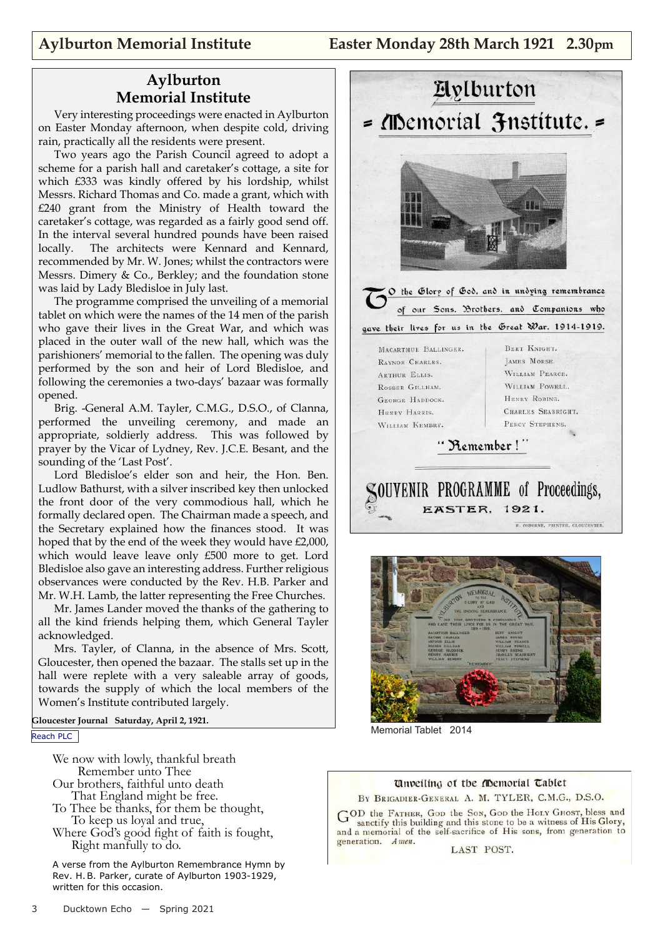# **Aylburton Memorial Institute**

Very interesting proceedings were enacted in Aylburton on Easter Monday afternoon, when despite cold, driving rain, practically all the residents were present.

Two years ago the Parish Council agreed to adopt a scheme for a parish hall and caretaker's cottage, a site for which £333 was kindly offered by his lordship, whilst Messrs. Richard Thomas and Co. made a grant, which with £240 grant from the Ministry of Health toward the caretaker's cottage, was regarded as a fairly good send off. In the interval several hundred pounds have been raised locally. The architects were Kennard and Kennard, recommended by Mr. W. Jones; whilst the contractors were Messrs. Dimery & Co., Berkley; and the foundation stone was laid by Lady Bledisloe in July last.

The programme comprised the unveiling of a memorial tablet on which were the names of the 14 men of the parish who gave their lives in the Great War, and which was placed in the outer wall of the new hall, which was the parishioners' memorial to the fallen. The opening was duly performed by the son and heir of Lord Bledisloe, and following the ceremonies a two-days' bazaar was formally opened.

Brig. -General A.M. Tayler, C.M.G., D.S.O., of Clanna, performed the unveiling ceremony, and made an appropriate, soldierly address. This was followed by prayer by the Vicar of Lydney, Rev. J.C.E. Besant, and the sounding of the 'Last Post'.

Lord Bledisloe's elder son and heir, the Hon. Ben. Ludlow Bathurst, with a silver inscribed key then unlocked the front door of the very commodious hall, which he formally declared open. The Chairman made a speech, and the Secretary explained how the finances stood. It was hoped that by the end of the week they would have £2,000, which would leave leave only £500 more to get. Lord Bledisloe also gave an interesting address. Further religious observances were conducted by the Rev. H.B. Parker and Mr. W.H. Lamb, the latter representing the Free Churches.

Mr. James Lander moved the thanks of the gathering to all the kind friends helping them, which General Tayler acknowledged.

Mrs. Tayler, of Clanna, in the absence of Mrs. Scott, Gloucester, then opened the bazaar. The stalls set up in the hall were replete with a very saleable array of goods, towards the supply of which the local members of the Women's Institute contributed largely.

**Gloucester Journal Saturday, April 2, 1921.**

Reach PLC

We now with lowly, thankful breath Remember unto Thee Our brothers, faithful unto death

- That England might be free.
- To Thee be thanks, for them be thought, To keep us loyal and true,
- Where God's good fight of faith is fought, Right manfully to do.

A verse from the Aylburton Remembrance Hymn by Rev. H.B. Parker, curate of Aylburton 1903-1929, written for this occasion.





Memorial Tablet 2014

#### Unveiling of the *fibemorial* Tablet

BY BRIGADIER-GENERAL A. M. TYLER, C.M.G., D.S.O.

GOD the FATHER, Gop the Son, Gop the Holy GHost, bless and sanctify this building and this stone to be a witness of His Glory, and a memorial of the self-sacrifice of His sons, from generation to generation. Amen.

LAST POST.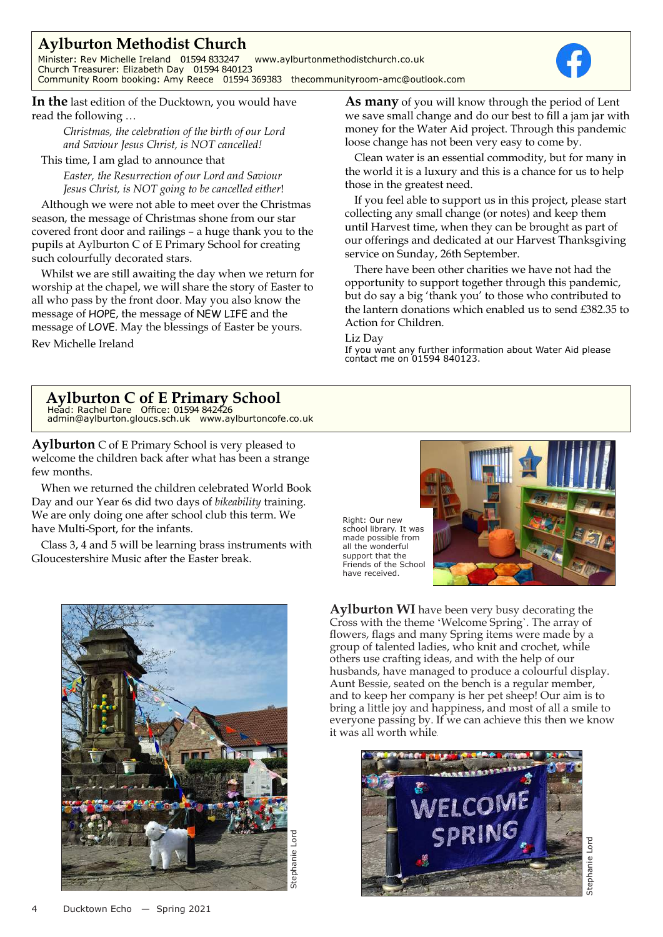# **Aylburton Methodist Church**

Minister: Rev Michelle Ireland 01594 833247 www.aylburtonmethodistchurch.co.uk Church Treasurer: Elizabeth Day 01594 840123 Community Room booking: Amy Reece 01594 369383 thecommunityroom-amc@outlook.com



**In the** last edition of the Ducktown, you would have read the following …

> *Christmas, the celebration of the birth of our Lord and Saviour Jesus Christ, is NOT cancelled!*

This time, <sup>I</sup> am glad to announce that

*Easter, the Resurrection of our Lord and Saviour Jesus Christ, is NOT going to be cancelled either*!

Although we were not able to meet over the Christmas season, the message of Christmas shone from our star covered front door and railings – <sup>a</sup> huge thank you to the pupils at Aylburton C of <sup>E</sup> Primary School for creating such colourfully decorated stars.

Whilst we are still awaiting the day when we return for worship at the chapel, we will share the story of Easter to all who pass by the front door. May you also know the message of HOPE, the message of NEW LIFE and the message of LOVE. May the blessings of Easter be yours. Rev Michelle Ireland

**As many** of you will know through the period of Lent we save small change and do our best to fill <sup>a</sup> jam jar with money for the Water Aid project. Through this pandemic loose change has not been very easy to come by.

Clean water is an essential commodity, but for many in the world it is <sup>a</sup> luxury and this is <sup>a</sup> chance for us to help those in the greatest need.

If you feel able to suppor<sup>t</sup> us in this project, please start collecting any small change (or notes) and keep them until Harvest time, when they can be brought as par<sup>t</sup> of our offerings and dedicated at our Harvest Thanksgiving service on Sunday, 26th September.

There have been other charities we have not had the opportunity to suppor<sup>t</sup> together through this pandemic, but do say <sup>a</sup> big 'thank you' to those who contributed to the lantern donations which enabled us to send £382.35 to Action for Children.

#### Liz Day

If you want any further information about Water Aid please contact me on 01594 840123.

# **Aylburton C of E Primary School** Head: Rachel Dare Office: 01594 842426

admin@aylburton.gloucs.sch.uk www.aylburtoncofe.co.uk

**Aylburton** C of E Primary School is very pleased to welcome the children back after what has been a strange few months.

When we returned the children celebrated World Book Day and our Year 6s did two days of *bikeability* training. We are only doing one after school club this term. We have Multi-Sport, for the infants.

Class 3, 4 and 5 will be learning brass instruments with Gloucestershire Music after the Easter break.



Right: Our new school library. It was made possible from all the wonderful support that the Friends of the School have received.



**Aylburton WI** have been very busy decorating the Cross with the theme 'Welcome Spring`. The array of flowers, flags and many Spring items were made by a group of talented ladies, who knit and crochet, while others use crafting ideas, and with the help of our husbands, have managed to produce a colourful display. Aunt Bessie, seated on the bench is a regular member, and to keep her company is her pet sheep! Our aim is to bring a little joy and happiness, and most of all a smile to everyone passing by. If we can achieve this then we know it was all worth while.